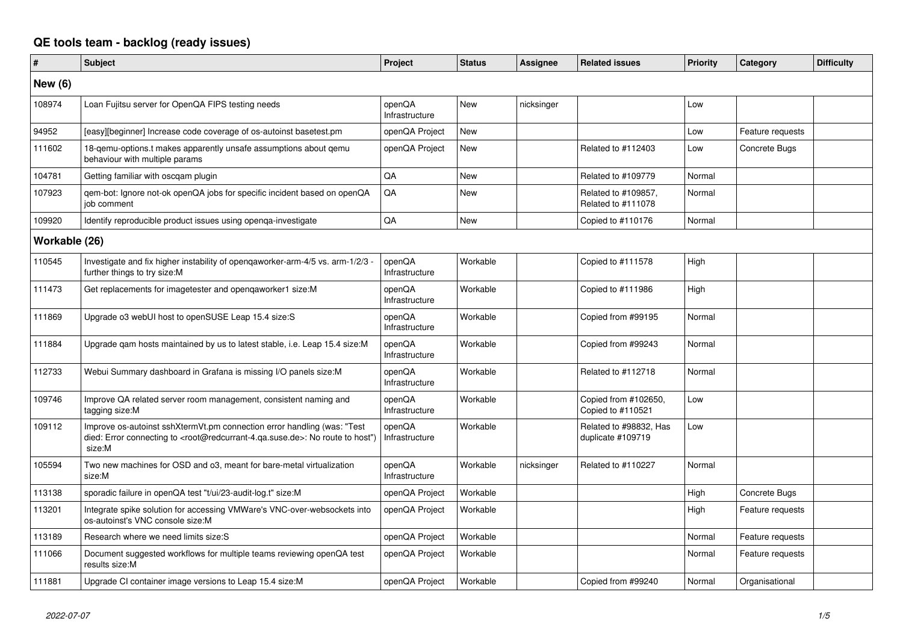## **QE tools team - backlog (ready issues)**

| #              | <b>Subject</b>                                                                                                                                                                                    | Project                  | <b>Status</b> | <b>Assignee</b> | <b>Related issues</b>                       | Priority | Category         | <b>Difficulty</b> |
|----------------|---------------------------------------------------------------------------------------------------------------------------------------------------------------------------------------------------|--------------------------|---------------|-----------------|---------------------------------------------|----------|------------------|-------------------|
| <b>New (6)</b> |                                                                                                                                                                                                   |                          |               |                 |                                             |          |                  |                   |
| 108974         | Loan Fujitsu server for OpenQA FIPS testing needs                                                                                                                                                 | openQA<br>Infrastructure | <b>New</b>    | nicksinger      |                                             | Low      |                  |                   |
| 94952          | [easy][beginner] Increase code coverage of os-autoinst basetest.pm                                                                                                                                | openQA Project           | <b>New</b>    |                 |                                             | Low      | Feature requests |                   |
| 111602         | 18-gemu-options.t makes apparently unsafe assumptions about gemu<br>behaviour with multiple params                                                                                                | openQA Project           | <b>New</b>    |                 | Related to #112403                          | Low      | Concrete Bugs    |                   |
| 104781         | Getting familiar with oscgam plugin                                                                                                                                                               | QA                       | <b>New</b>    |                 | Related to #109779                          | Normal   |                  |                   |
| 107923         | gem-bot: Ignore not-ok openQA jobs for specific incident based on openQA<br>job comment                                                                                                           | QA                       | <b>New</b>    |                 | Related to #109857,<br>Related to #111078   | Normal   |                  |                   |
| 109920         | Identify reproducible product issues using openga-investigate                                                                                                                                     | QA                       | <b>New</b>    |                 | Copied to #110176                           | Normal   |                  |                   |
| Workable (26)  |                                                                                                                                                                                                   |                          |               |                 |                                             |          |                  |                   |
| 110545         | Investigate and fix higher instability of opengaworker-arm-4/5 vs. arm-1/2/3 -<br>further things to try size:M                                                                                    | openQA<br>Infrastructure | Workable      |                 | Copied to #111578                           | High     |                  |                   |
| 111473         | Get replacements for imagetester and opengaworker1 size:M                                                                                                                                         | openQA<br>Infrastructure | Workable      |                 | Copied to #111986                           | High     |                  |                   |
| 111869         | Upgrade o3 webUI host to openSUSE Leap 15.4 size:S                                                                                                                                                | openQA<br>Infrastructure | Workable      |                 | Copied from #99195                          | Normal   |                  |                   |
| 111884         | Upgrade qam hosts maintained by us to latest stable, i.e. Leap 15.4 size:M                                                                                                                        | openQA<br>Infrastructure | Workable      |                 | Copied from #99243                          | Normal   |                  |                   |
| 112733         | Webui Summary dashboard in Grafana is missing I/O panels size:M                                                                                                                                   | openQA<br>Infrastructure | Workable      |                 | Related to #112718                          | Normal   |                  |                   |
| 109746         | Improve QA related server room management, consistent naming and<br>tagging size:M                                                                                                                | openQA<br>Infrastructure | Workable      |                 | Copied from #102650,<br>Copied to #110521   | Low      |                  |                   |
| 109112         | Improve os-autoinst sshXtermVt.pm connection error handling (was: "Test<br>died: Error connecting to <root@redcurrant-4.ga.suse.de>: No route to host")<br/>size:M</root@redcurrant-4.ga.suse.de> | openQA<br>Infrastructure | Workable      |                 | Related to #98832, Has<br>duplicate #109719 | Low      |                  |                   |
| 105594         | Two new machines for OSD and o3, meant for bare-metal virtualization<br>size:M                                                                                                                    | openQA<br>Infrastructure | Workable      | nicksinger      | Related to #110227                          | Normal   |                  |                   |
| 113138         | sporadic failure in openQA test "t/ui/23-audit-log.t" size:M                                                                                                                                      | openQA Project           | Workable      |                 |                                             | High     | Concrete Bugs    |                   |
| 113201         | Integrate spike solution for accessing VMWare's VNC-over-websockets into<br>os-autoinst's VNC console size:M                                                                                      | openQA Project           | Workable      |                 |                                             | High     | Feature requests |                   |
| 113189         | Research where we need limits size: S                                                                                                                                                             | openQA Project           | Workable      |                 |                                             | Normal   | Feature requests |                   |
| 111066         | Document suggested workflows for multiple teams reviewing openQA test<br>results size:M                                                                                                           | openQA Project           | Workable      |                 |                                             | Normal   | Feature requests |                   |
| 111881         | Upgrade CI container image versions to Leap 15.4 size:M                                                                                                                                           | openQA Project           | Workable      |                 | Copied from #99240                          | Normal   | Organisational   |                   |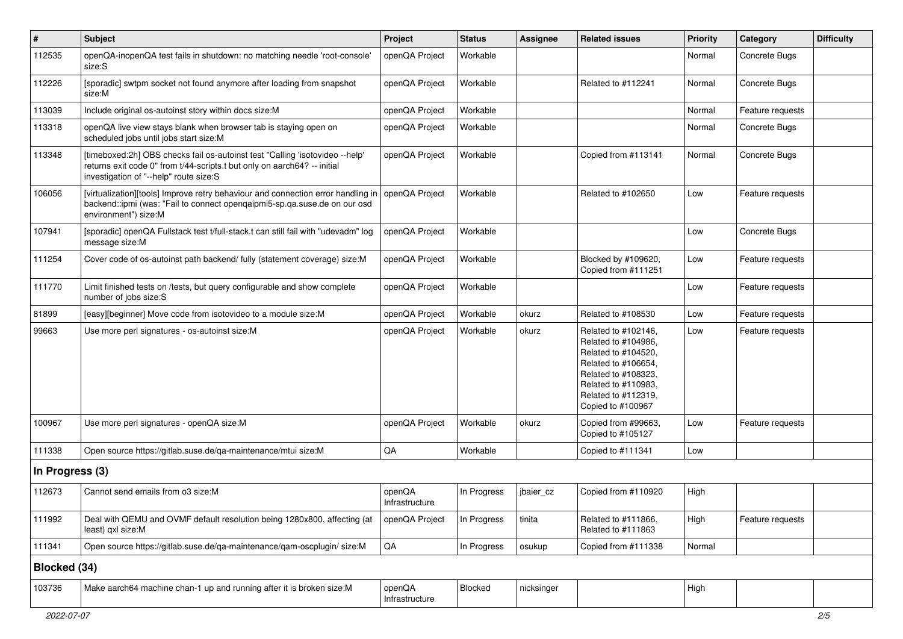| $\vert$ #       | <b>Subject</b>                                                                                                                                                                                     | Project                  | <b>Status</b> | <b>Assignee</b> | <b>Related issues</b>                                                                                                                                                              | <b>Priority</b> | Category         | <b>Difficulty</b> |
|-----------------|----------------------------------------------------------------------------------------------------------------------------------------------------------------------------------------------------|--------------------------|---------------|-----------------|------------------------------------------------------------------------------------------------------------------------------------------------------------------------------------|-----------------|------------------|-------------------|
| 112535          | openQA-inopenQA test fails in shutdown: no matching needle 'root-console'<br>size:S                                                                                                                | openQA Project           | Workable      |                 |                                                                                                                                                                                    | Normal          | Concrete Bugs    |                   |
| 112226          | [sporadic] swtpm socket not found anymore after loading from snapshot<br>size:M                                                                                                                    | openQA Project           | Workable      |                 | Related to #112241                                                                                                                                                                 | Normal          | Concrete Bugs    |                   |
| 113039          | Include original os-autoinst story within docs size:M                                                                                                                                              | openQA Project           | Workable      |                 |                                                                                                                                                                                    | Normal          | Feature requests |                   |
| 113318          | openQA live view stays blank when browser tab is staying open on<br>scheduled jobs until jobs start size:M                                                                                         | openQA Project           | Workable      |                 |                                                                                                                                                                                    | Normal          | Concrete Bugs    |                   |
| 113348          | [timeboxed:2h] OBS checks fail os-autoinst test "Calling 'isotovideo --help'<br>returns exit code 0" from t/44-scripts.t but only on aarch64? -- initial<br>investigation of "--help" route size:S | openQA Project           | Workable      |                 | Copied from #113141                                                                                                                                                                | Normal          | Concrete Bugs    |                   |
| 106056          | [virtualization][tools] Improve retry behaviour and connection error handling in<br>backend::ipmi (was: "Fail to connect openqaipmi5-sp.qa.suse.de on our osd<br>environment") size:M              | openQA Project           | Workable      |                 | Related to #102650                                                                                                                                                                 | Low             | Feature requests |                   |
| 107941          | [sporadic] openQA Fullstack test t/full-stack.t can still fail with "udevadm" log<br>message size:M                                                                                                | openQA Project           | Workable      |                 |                                                                                                                                                                                    | Low             | Concrete Bugs    |                   |
| 111254          | Cover code of os-autoinst path backend/ fully (statement coverage) size:M                                                                                                                          | openQA Project           | Workable      |                 | Blocked by #109620,<br>Copied from #111251                                                                                                                                         | Low             | Feature requests |                   |
| 111770          | Limit finished tests on /tests, but query configurable and show complete<br>number of jobs size:S                                                                                                  | openQA Project           | Workable      |                 |                                                                                                                                                                                    | Low             | Feature requests |                   |
| 81899           | [easy][beginner] Move code from isotovideo to a module size:M                                                                                                                                      | openQA Project           | Workable      | okurz           | Related to #108530                                                                                                                                                                 | Low             | Feature requests |                   |
| 99663           | Use more perl signatures - os-autoinst size:M                                                                                                                                                      | openQA Project           | Workable      | okurz           | Related to #102146.<br>Related to #104986,<br>Related to #104520,<br>Related to #106654,<br>Related to #108323,<br>Related to #110983,<br>Related to #112319,<br>Copied to #100967 | Low             | Feature requests |                   |
| 100967          | Use more perl signatures - openQA size:M                                                                                                                                                           | openQA Project           | Workable      | okurz           | Copied from #99663,<br>Copied to #105127                                                                                                                                           | Low             | Feature requests |                   |
| 111338          | Open source https://gitlab.suse.de/qa-maintenance/mtui size:M                                                                                                                                      | QA                       | Workable      |                 | Copied to #111341                                                                                                                                                                  | Low             |                  |                   |
| In Progress (3) |                                                                                                                                                                                                    |                          |               |                 |                                                                                                                                                                                    |                 |                  |                   |
| 112673          | Cannot send emails from o3 size:M                                                                                                                                                                  | openQA<br>Infrastructure | In Progress   | jbaier_cz       | Copied from #110920                                                                                                                                                                | High            |                  |                   |
| 111992          | Deal with QEMU and OVMF default resolution being 1280x800, affecting (at<br>least) qxl size:M                                                                                                      | openQA Project           | In Progress   | tinita          | Related to #111866,<br>Related to #111863                                                                                                                                          | High            | Feature requests |                   |
| 111341          | Open source https://gitlab.suse.de/qa-maintenance/qam-oscplugin/ size:M                                                                                                                            | $\mathsf{QA}$            | In Progress   | osukup          | Copied from #111338                                                                                                                                                                | Normal          |                  |                   |
| Blocked (34)    |                                                                                                                                                                                                    |                          |               |                 |                                                                                                                                                                                    |                 |                  |                   |
| 103736          | Make aarch64 machine chan-1 up and running after it is broken size:M                                                                                                                               | openQA<br>Infrastructure | Blocked       | nicksinger      |                                                                                                                                                                                    | High            |                  |                   |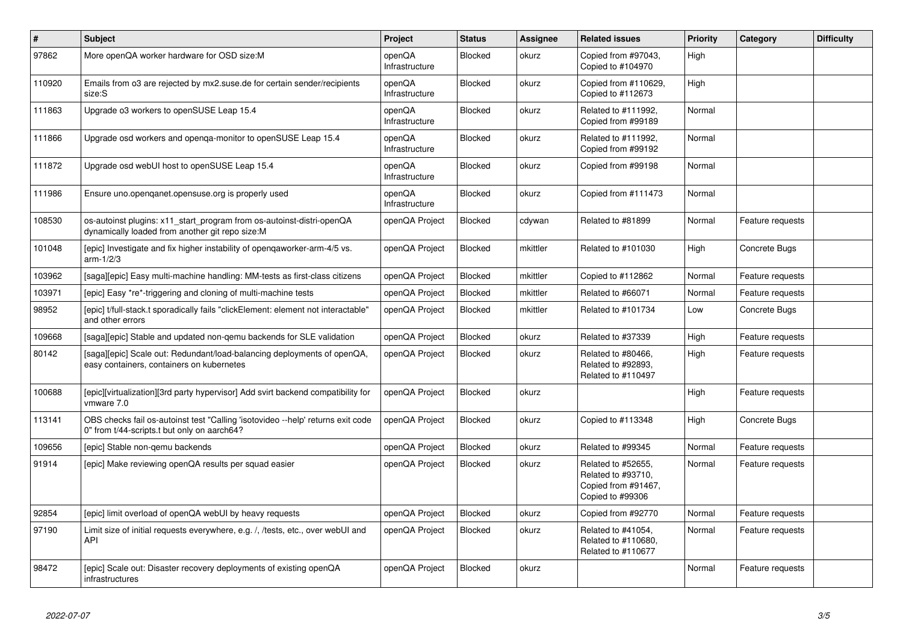| $\pmb{\#}$ | <b>Subject</b>                                                                                                                 | Project                  | <b>Status</b>  | <b>Assignee</b> | <b>Related issues</b>                                                               | Priority | Category         | <b>Difficulty</b> |
|------------|--------------------------------------------------------------------------------------------------------------------------------|--------------------------|----------------|-----------------|-------------------------------------------------------------------------------------|----------|------------------|-------------------|
| 97862      | More openQA worker hardware for OSD size:M                                                                                     | openQA<br>Infrastructure | <b>Blocked</b> | okurz           | Copied from #97043.<br>Copied to #104970                                            | High     |                  |                   |
| 110920     | Emails from o3 are rejected by mx2.suse.de for certain sender/recipients<br>size:S                                             | openQA<br>Infrastructure | <b>Blocked</b> | okurz           | Copied from #110629,<br>Copied to #112673                                           | High     |                  |                   |
| 111863     | Upgrade o3 workers to openSUSE Leap 15.4                                                                                       | openQA<br>Infrastructure | <b>Blocked</b> | okurz           | Related to #111992,<br>Copied from #99189                                           | Normal   |                  |                   |
| 111866     | Upgrade osd workers and openga-monitor to openSUSE Leap 15.4                                                                   | openQA<br>Infrastructure | <b>Blocked</b> | okurz           | Related to #111992,<br>Copied from #99192                                           | Normal   |                  |                   |
| 111872     | Upgrade osd webUI host to openSUSE Leap 15.4                                                                                   | openQA<br>Infrastructure | <b>Blocked</b> | okurz           | Copied from #99198                                                                  | Normal   |                  |                   |
| 111986     | Ensure uno.openqanet.opensuse.org is properly used                                                                             | openQA<br>Infrastructure | <b>Blocked</b> | okurz           | Copied from #111473                                                                 | Normal   |                  |                   |
| 108530     | os-autoinst plugins: x11 start program from os-autoinst-distri-openQA<br>dynamically loaded from another git repo size:M       | openQA Project           | <b>Blocked</b> | cdywan          | Related to #81899                                                                   | Normal   | Feature requests |                   |
| 101048     | [epic] Investigate and fix higher instability of opengaworker-arm-4/5 vs.<br>arm-1/2/3                                         | openQA Project           | Blocked        | mkittler        | Related to #101030                                                                  | High     | Concrete Bugs    |                   |
| 103962     | [saga][epic] Easy multi-machine handling: MM-tests as first-class citizens                                                     | openQA Project           | <b>Blocked</b> | mkittler        | Copied to #112862                                                                   | Normal   | Feature requests |                   |
| 103971     | [epic] Easy *re*-triggering and cloning of multi-machine tests                                                                 | openQA Project           | <b>Blocked</b> | mkittler        | Related to #66071                                                                   | Normal   | Feature requests |                   |
| 98952      | [epic] t/full-stack.t sporadically fails "clickElement: element not interactable'<br>and other errors                          | openQA Project           | <b>Blocked</b> | mkittler        | Related to #101734                                                                  | Low      | Concrete Bugs    |                   |
| 109668     | [saga][epic] Stable and updated non-gemu backends for SLE validation                                                           | openQA Project           | <b>Blocked</b> | okurz           | Related to #37339                                                                   | High     | Feature requests |                   |
| 80142      | [saga][epic] Scale out: Redundant/load-balancing deployments of openQA,<br>easy containers, containers on kubernetes           | openQA Project           | <b>Blocked</b> | okurz           | Related to #80466,<br>Related to #92893,<br>Related to #110497                      | High     | Feature requests |                   |
| 100688     | [epic][virtualization][3rd party hypervisor] Add svirt backend compatibility for<br>vmware 7.0                                 | openQA Project           | <b>Blocked</b> | okurz           |                                                                                     | High     | Feature requests |                   |
| 113141     | OBS checks fail os-autoinst test "Calling 'isotovideo --help' returns exit code<br>0" from t/44-scripts.t but only on aarch64? | openQA Project           | <b>Blocked</b> | okurz           | Copied to #113348                                                                   | High     | Concrete Bugs    |                   |
| 109656     | [epic] Stable non-gemu backends                                                                                                | openQA Project           | <b>Blocked</b> | okurz           | Related to #99345                                                                   | Normal   | Feature requests |                   |
| 91914      | [epic] Make reviewing openQA results per squad easier                                                                          | openQA Project           | <b>Blocked</b> | okurz           | Related to #52655,<br>Related to #93710,<br>Copied from #91467,<br>Copied to #99306 | Normal   | Feature requests |                   |
| 92854      | [epic] limit overload of openQA webUI by heavy requests                                                                        | openQA Project           | <b>Blocked</b> | okurz           | Copied from #92770                                                                  | Normal   | Feature requests |                   |
| 97190      | Limit size of initial requests everywhere, e.g. /, /tests, etc., over webUI and<br><b>API</b>                                  | openQA Project           | Blocked        | okurz           | Related to #41054,<br>Related to #110680,<br>Related to #110677                     | Normal   | Feature requests |                   |
| 98472      | [epic] Scale out: Disaster recovery deployments of existing openQA<br>infrastructures                                          | openQA Project           | <b>Blocked</b> | okurz           |                                                                                     | Normal   | Feature requests |                   |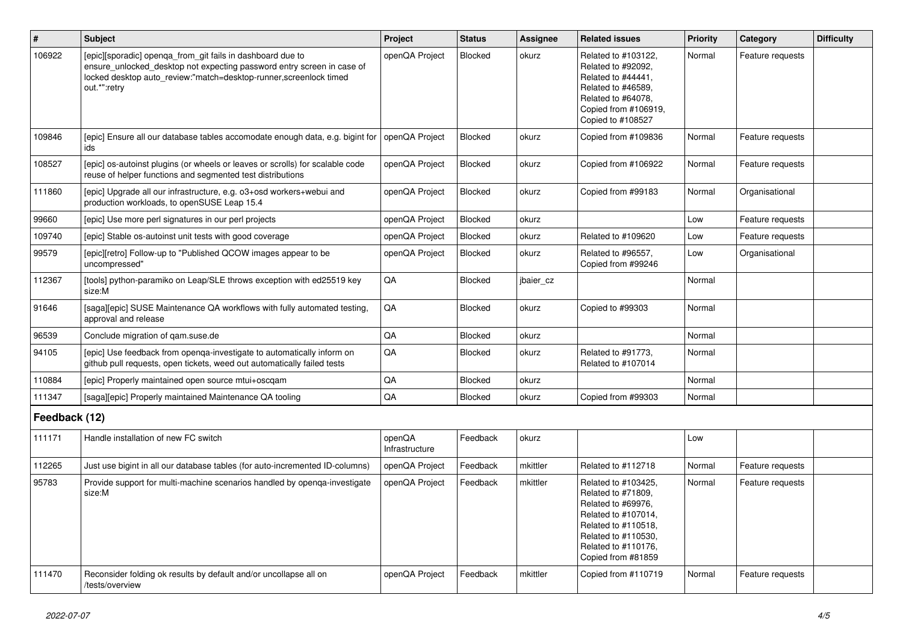| $\sharp$      | <b>Subject</b>                                                                                                                                                                                                            | Project                  | <b>Status</b>  | <b>Assignee</b> | <b>Related issues</b>                                                                                                                                                             | Priority | Category         | <b>Difficulty</b> |
|---------------|---------------------------------------------------------------------------------------------------------------------------------------------------------------------------------------------------------------------------|--------------------------|----------------|-----------------|-----------------------------------------------------------------------------------------------------------------------------------------------------------------------------------|----------|------------------|-------------------|
| 106922        | [epic][sporadic] openqa_from_git fails in dashboard due to<br>ensure_unlocked_desktop not expecting password entry screen in case of<br>locked desktop auto_review:"match=desktop-runner,screenlock timed<br>out.*":retry | openQA Project           | Blocked        | okurz           | Related to #103122,<br>Related to #92092,<br>Related to #44441,<br>Related to #46589,<br>Related to #64078.<br>Copied from #106919,<br>Copied to #108527                          | Normal   | Feature requests |                   |
| 109846        | [epic] Ensure all our database tables accomodate enough data, e.g. bigint for<br>ids                                                                                                                                      | openQA Project           | <b>Blocked</b> | okurz           | Copied from #109836                                                                                                                                                               | Normal   | Feature requests |                   |
| 108527        | [epic] os-autoinst plugins (or wheels or leaves or scrolls) for scalable code<br>reuse of helper functions and segmented test distributions                                                                               | openQA Project           | Blocked        | okurz           | Copied from #106922                                                                                                                                                               | Normal   | Feature requests |                   |
| 111860        | [epic] Upgrade all our infrastructure, e.g. o3+osd workers+webui and<br>production workloads, to openSUSE Leap 15.4                                                                                                       | openQA Project           | Blocked        | okurz           | Copied from #99183                                                                                                                                                                | Normal   | Organisational   |                   |
| 99660         | [epic] Use more perl signatures in our perl projects                                                                                                                                                                      | openQA Project           | Blocked        | okurz           |                                                                                                                                                                                   | Low      | Feature requests |                   |
| 109740        | [epic] Stable os-autoinst unit tests with good coverage                                                                                                                                                                   | openQA Project           | <b>Blocked</b> | okurz           | Related to #109620                                                                                                                                                                | Low      | Feature requests |                   |
| 99579         | [epic][retro] Follow-up to "Published QCOW images appear to be<br>uncompressed"                                                                                                                                           | openQA Project           | Blocked        | okurz           | Related to #96557,<br>Copied from #99246                                                                                                                                          | Low      | Organisational   |                   |
| 112367        | [tools] python-paramiko on Leap/SLE throws exception with ed25519 key<br>size:M                                                                                                                                           | QA                       | Blocked        | jbaier_cz       |                                                                                                                                                                                   | Normal   |                  |                   |
| 91646         | [saga][epic] SUSE Maintenance QA workflows with fully automated testing,<br>approval and release                                                                                                                          | QA                       | Blocked        | okurz           | Copied to #99303                                                                                                                                                                  | Normal   |                  |                   |
| 96539         | Conclude migration of gam.suse.de                                                                                                                                                                                         | QA                       | Blocked        | okurz           |                                                                                                                                                                                   | Normal   |                  |                   |
| 94105         | [epic] Use feedback from openga-investigate to automatically inform on<br>github pull requests, open tickets, weed out automatically failed tests                                                                         | QA                       | Blocked        | okurz           | Related to #91773,<br>Related to #107014                                                                                                                                          | Normal   |                  |                   |
| 110884        | [epic] Properly maintained open source mtui+oscgam                                                                                                                                                                        | $\mathsf{QA}$            | Blocked        | okurz           |                                                                                                                                                                                   | Normal   |                  |                   |
| 111347        | [saga][epic] Properly maintained Maintenance QA tooling                                                                                                                                                                   | QA                       | <b>Blocked</b> | okurz           | Copied from #99303                                                                                                                                                                | Normal   |                  |                   |
| Feedback (12) |                                                                                                                                                                                                                           |                          |                |                 |                                                                                                                                                                                   |          |                  |                   |
| 111171        | Handle installation of new FC switch                                                                                                                                                                                      | openQA<br>Infrastructure | Feedback       | okurz           |                                                                                                                                                                                   | Low      |                  |                   |
| 112265        | Just use bigint in all our database tables (for auto-incremented ID-columns)                                                                                                                                              | openQA Project           | Feedback       | mkittler        | Related to #112718                                                                                                                                                                | Normal   | Feature requests |                   |
| 95783         | Provide support for multi-machine scenarios handled by openga-investigate<br>size:M                                                                                                                                       | openQA Project           | Feedback       | mkittler        | Related to #103425,<br>Related to #71809,<br>Related to #69976,<br>Related to #107014,<br>Related to #110518,<br>Related to #110530,<br>Related to #110176,<br>Copied from #81859 | Normal   | Feature requests |                   |
| 111470        | Reconsider folding ok results by default and/or uncollapse all on<br>/tests/overview                                                                                                                                      | openQA Project           | Feedback       | mkittler        | Copied from #110719                                                                                                                                                               | Normal   | Feature requests |                   |